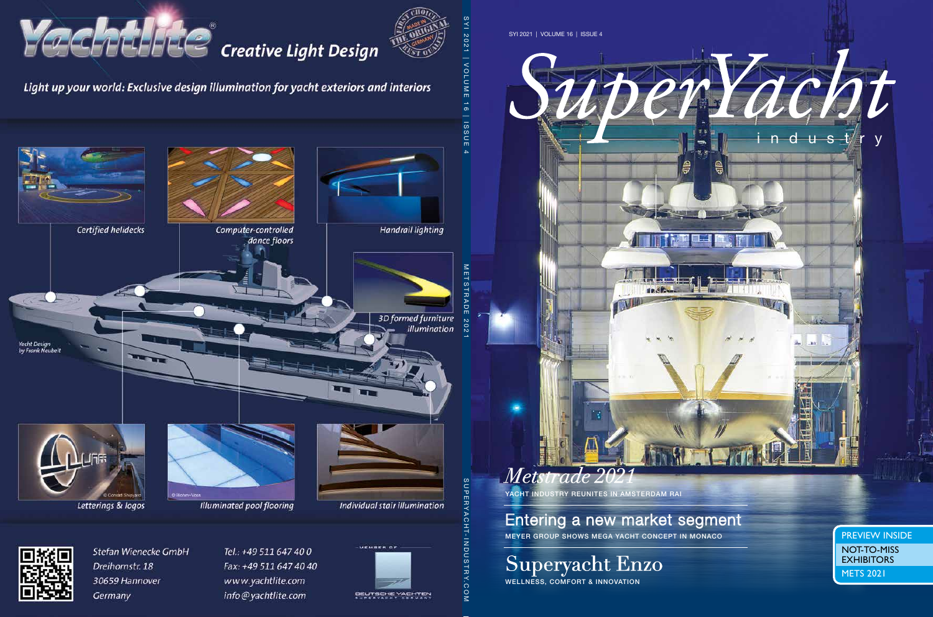

YACHT INDUSTRY REUNITES IN AMSTERDAM RAI

R

Entering a new market segment MEYER GROUP SHOWS MEGA YACHT CONCEPT IN MONACO **PREVIEW INSIDE** 

# Superyacht Enzo

WELLNESS, COMFORT & INNOVATION

METS 2021 NOT-TO-MISS EXHIBITORS

three-abilities

n d u s\_t/r y

an D

 $\bigoplus$ 

l.

 $\bigoplus$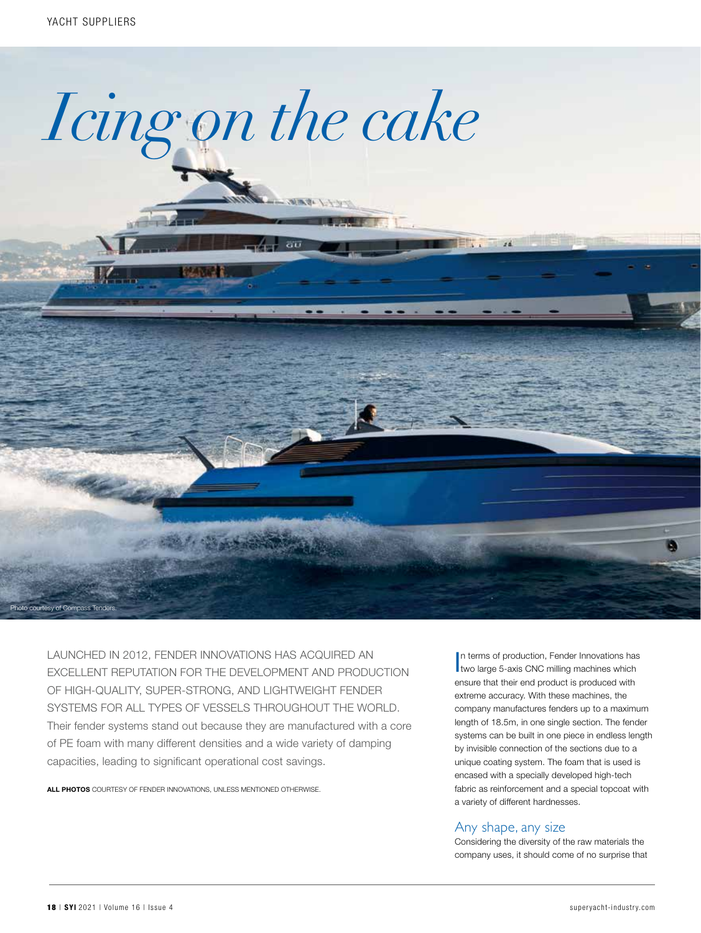

**NEWS エディック** 

 $G\overline{U}$ 

LAUNCHED IN 2012, FENDER INNOVATIONS HAS ACQUIRED AN EXCELLENT REPUTATION FOR THE DEVELOPMENT AND PRODUCTION OF HIGH-QUALITY, SUPER-STRONG, AND LIGHTWEIGHT FENDER SYSTEMS FOR ALL TYPES OF VESSELS THROUGHOUT THE WORLD. Their fender systems stand out because they are manufactured with a core of PE foam with many different densities and a wide variety of damping capacities, leading to significant operational cost savings.

ALL PHOTOS COURTESY OF FENDER INNOVATIONS, UNLESS MENTIONED OTHERWISE.

In terms of production, Fender Innovations has<br>two large 5-axis CNC milling machines which n terms of production, Fender Innovations has ensure that their end product is produced with extreme accuracy. With these machines, the company manufactures fenders up to a maximum length of 18.5m, in one single section. The fender systems can be built in one piece in endless length by invisible connection of the sections due to a unique coating system. The foam that is used is encased with a specially developed high-tech fabric as reinforcement and a special topcoat with a variety of different hardnesses.

#### Any shape, any size

 $14.1$ 

Considering the diversity of the raw materials the company uses, it should come of no surprise that

Photo courtesy of Compass Tender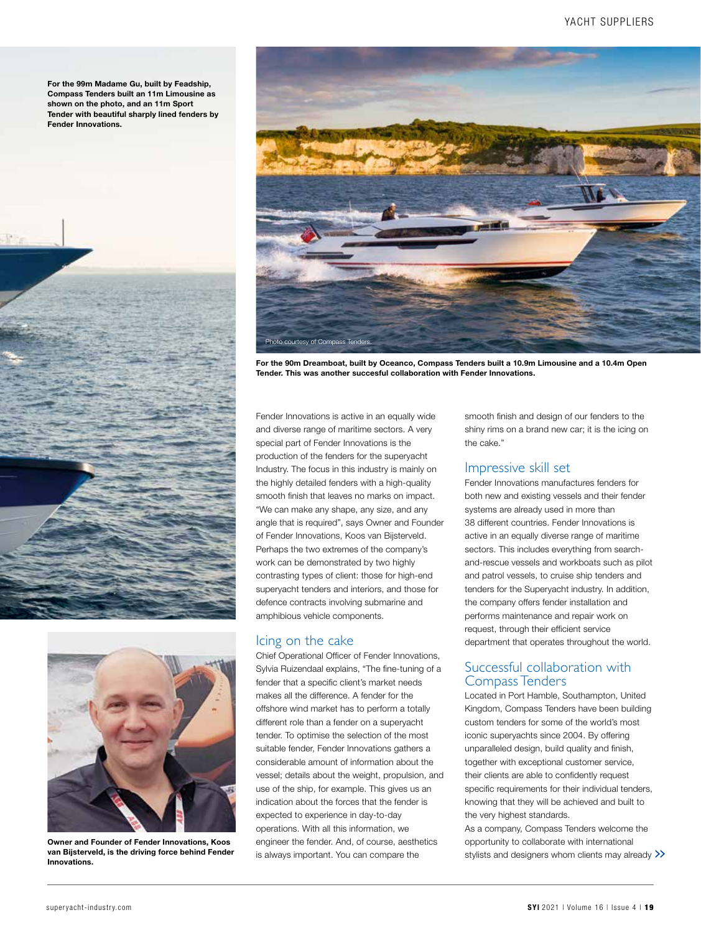For the 99m Madame Gu, built by Feadship, Compass Tenders built an 11m Limousine as shown on the photo, and an 11m Sport Tender with beautiful sharply lined fenders by Fender Innovations.





Owner and Founder of Fender Innovations, Koos van Bijsterveld, is the driving force behind Fender Innovations.



For the 90m Dreamboat, built by Oceanco, Compass Tenders built a 10.9m Limousine and a 10.4m Open Tender. This was another succesful collaboration with Fender Innovations.

Fender Innovations is active in an equally wide and diverse range of maritime sectors. A very special part of Fender Innovations is the production of the fenders for the superyacht Industry. The focus in this industry is mainly on the highly detailed fenders with a high-quality smooth finish that leaves no marks on impact. "We can make any shape, any size, and any angle that is required", says Owner and Founder of Fender Innovations, Koos van Bijsterveld. Perhaps the two extremes of the company's work can be demonstrated by two highly contrasting types of client: those for high-end superyacht tenders and interiors, and those for defence contracts involving submarine and amphibious vehicle components.

## Icing on the cake

Chief Operational Officer of Fender Innovations, Sylvia Ruizendaal explains, "The fine-tuning of a fender that a specific client's market needs makes all the difference. A fender for the offshore wind market has to perform a totally different role than a fender on a superyacht tender. To optimise the selection of the most suitable fender, Fender Innovations gathers a considerable amount of information about the vessel; details about the weight, propulsion, and use of the ship, for example. This gives us an indication about the forces that the fender is expected to experience in day-to-day operations. With all this information, we engineer the fender. And, of course, aesthetics is always important. You can compare the

smooth finish and design of our fenders to the shiny rims on a brand new car; it is the icing on the cake."

#### Impressive skill set

Fender Innovations manufactures fenders for both new and existing vessels and their fender systems are already used in more than 38 different countries. Fender Innovations is active in an equally diverse range of maritime sectors. This includes everything from searchand-rescue vessels and workboats such as pilot and patrol vessels, to cruise ship tenders and tenders for the Superyacht industry. In addition, the company offers fender installation and performs maintenance and repair work on request, through their efficient service department that operates throughout the world.

### Successful collaboration with Compass Tenders

Located in Port Hamble, Southampton, United Kingdom, Compass Tenders have been building custom tenders for some of the world's most iconic superyachts since 2004. By offering unparalleled design, build quality and finish, together with exceptional customer service, their clients are able to confidently request specific requirements for their individual tenders, knowing that they will be achieved and built to the very highest standards.

As a company, Compass Tenders welcome the opportunity to collaborate with international opportunity to collaborate with international<br>stylists and designers whom clients may already >>